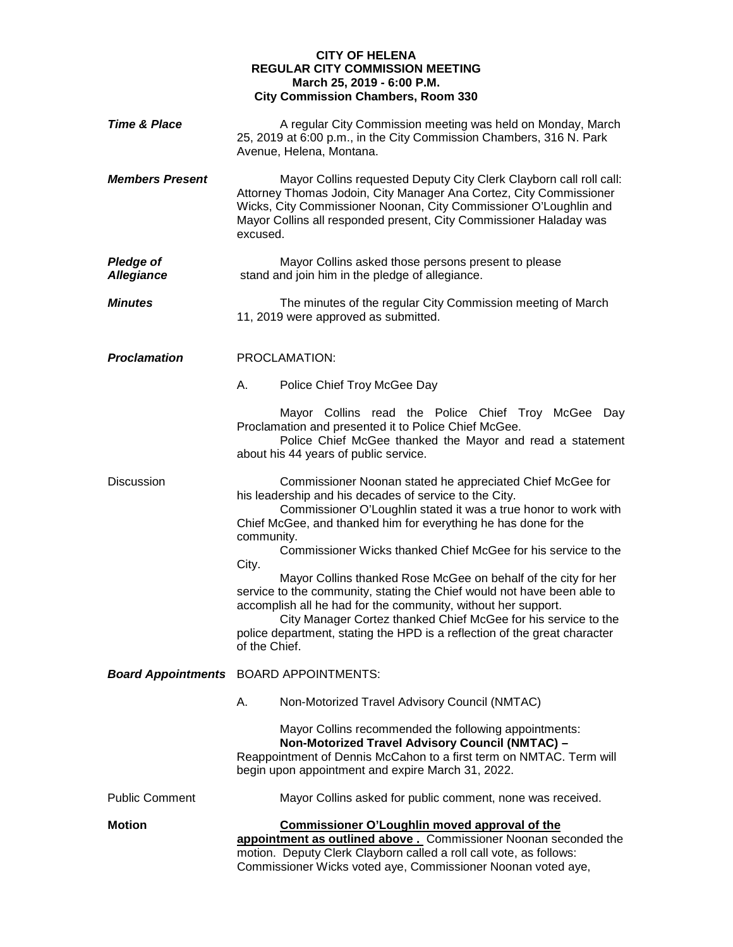## **CITY OF HELENA REGULAR CITY COMMISSION MEETING March 25, 2019 - 6:00 P.M. City Commission Chambers, Room 330**

| <b>Time &amp; Place</b>               | A regular City Commission meeting was held on Monday, March<br>25, 2019 at 6:00 p.m., in the City Commission Chambers, 316 N. Park<br>Avenue, Helena, Montana.                                                                                                                                                                                                                                                                                                                                                                                                                                                                                                                                                                  |
|---------------------------------------|---------------------------------------------------------------------------------------------------------------------------------------------------------------------------------------------------------------------------------------------------------------------------------------------------------------------------------------------------------------------------------------------------------------------------------------------------------------------------------------------------------------------------------------------------------------------------------------------------------------------------------------------------------------------------------------------------------------------------------|
| <b>Members Present</b>                | Mayor Collins requested Deputy City Clerk Clayborn call roll call:<br>Attorney Thomas Jodoin, City Manager Ana Cortez, City Commissioner<br>Wicks, City Commissioner Noonan, City Commissioner O'Loughlin and<br>Mayor Collins all responded present, City Commissioner Haladay was<br>excused.                                                                                                                                                                                                                                                                                                                                                                                                                                 |
| <b>Pledge of</b><br><b>Allegiance</b> | Mayor Collins asked those persons present to please<br>stand and join him in the pledge of allegiance.                                                                                                                                                                                                                                                                                                                                                                                                                                                                                                                                                                                                                          |
| <b>Minutes</b>                        | The minutes of the regular City Commission meeting of March<br>11, 2019 were approved as submitted.                                                                                                                                                                                                                                                                                                                                                                                                                                                                                                                                                                                                                             |
| <b>Proclamation</b>                   | PROCLAMATION:                                                                                                                                                                                                                                                                                                                                                                                                                                                                                                                                                                                                                                                                                                                   |
|                                       | А.<br>Police Chief Troy McGee Day                                                                                                                                                                                                                                                                                                                                                                                                                                                                                                                                                                                                                                                                                               |
|                                       | Mayor Collins read the Police Chief Troy McGee Day<br>Proclamation and presented it to Police Chief McGee.<br>Police Chief McGee thanked the Mayor and read a statement<br>about his 44 years of public service.                                                                                                                                                                                                                                                                                                                                                                                                                                                                                                                |
| <b>Discussion</b>                     | Commissioner Noonan stated he appreciated Chief McGee for<br>his leadership and his decades of service to the City.<br>Commissioner O'Loughlin stated it was a true honor to work with<br>Chief McGee, and thanked him for everything he has done for the<br>community.<br>Commissioner Wicks thanked Chief McGee for his service to the<br>City.<br>Mayor Collins thanked Rose McGee on behalf of the city for her<br>service to the community, stating the Chief would not have been able to<br>accomplish all he had for the community, without her support.<br>City Manager Cortez thanked Chief McGee for his service to the<br>police department, stating the HPD is a reflection of the great character<br>of the Chief. |
|                                       | <b>Board Appointments</b> BOARD APPOINTMENTS:                                                                                                                                                                                                                                                                                                                                                                                                                                                                                                                                                                                                                                                                                   |
|                                       | Α.<br>Non-Motorized Travel Advisory Council (NMTAC)                                                                                                                                                                                                                                                                                                                                                                                                                                                                                                                                                                                                                                                                             |
|                                       | Mayor Collins recommended the following appointments:<br>Non-Motorized Travel Advisory Council (NMTAC) -<br>Reappointment of Dennis McCahon to a first term on NMTAC. Term will<br>begin upon appointment and expire March 31, 2022.                                                                                                                                                                                                                                                                                                                                                                                                                                                                                            |
| <b>Public Comment</b>                 | Mayor Collins asked for public comment, none was received.                                                                                                                                                                                                                                                                                                                                                                                                                                                                                                                                                                                                                                                                      |
| <b>Motion</b>                         | <b>Commissioner O'Loughlin moved approval of the</b><br>appointment as outlined above. Commissioner Noonan seconded the<br>motion. Deputy Clerk Clayborn called a roll call vote, as follows:<br>Commissioner Wicks voted aye, Commissioner Noonan voted aye,                                                                                                                                                                                                                                                                                                                                                                                                                                                                   |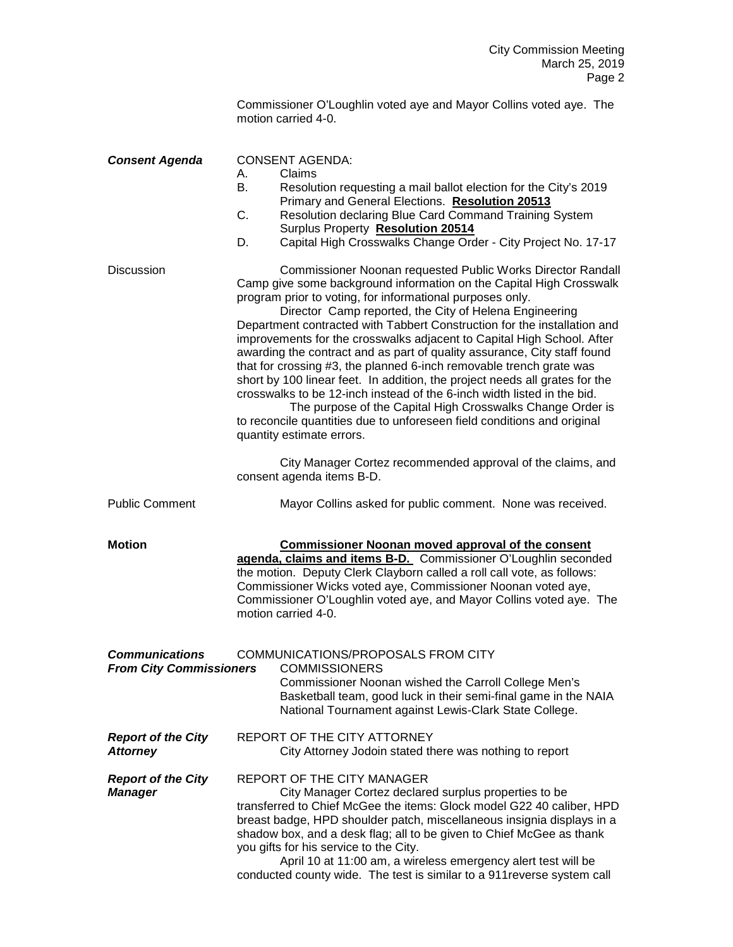| Commissioner O'Loughlin voted aye and Mayor Collins voted aye. The |  |
|--------------------------------------------------------------------|--|
| motion carried 4-0.                                                |  |

| <b>Consent Agenda</b>                                   | <b>CONSENT AGENDA:</b><br>Claims<br>А.<br>В.<br>Resolution requesting a mail ballot election for the City's 2019<br>Primary and General Elections. Resolution 20513<br>C.<br>Resolution declaring Blue Card Command Training System<br>Surplus Property Resolution 20514<br>Capital High Crosswalks Change Order - City Project No. 17-17<br>D.                                                                                                                                                                                                                                                                                                                                                                                                                                                                                                                                                    |
|---------------------------------------------------------|----------------------------------------------------------------------------------------------------------------------------------------------------------------------------------------------------------------------------------------------------------------------------------------------------------------------------------------------------------------------------------------------------------------------------------------------------------------------------------------------------------------------------------------------------------------------------------------------------------------------------------------------------------------------------------------------------------------------------------------------------------------------------------------------------------------------------------------------------------------------------------------------------|
| <b>Discussion</b>                                       | Commissioner Noonan requested Public Works Director Randall<br>Camp give some background information on the Capital High Crosswalk<br>program prior to voting, for informational purposes only.<br>Director Camp reported, the City of Helena Engineering<br>Department contracted with Tabbert Construction for the installation and<br>improvements for the crosswalks adjacent to Capital High School. After<br>awarding the contract and as part of quality assurance, City staff found<br>that for crossing #3, the planned 6-inch removable trench grate was<br>short by 100 linear feet. In addition, the project needs all grates for the<br>crosswalks to be 12-inch instead of the 6-inch width listed in the bid.<br>The purpose of the Capital High Crosswalks Change Order is<br>to reconcile quantities due to unforeseen field conditions and original<br>quantity estimate errors. |
|                                                         | City Manager Cortez recommended approval of the claims, and<br>consent agenda items B-D.                                                                                                                                                                                                                                                                                                                                                                                                                                                                                                                                                                                                                                                                                                                                                                                                           |
| <b>Public Comment</b>                                   | Mayor Collins asked for public comment. None was received.                                                                                                                                                                                                                                                                                                                                                                                                                                                                                                                                                                                                                                                                                                                                                                                                                                         |
| <b>Motion</b>                                           | <b>Commissioner Noonan moved approval of the consent</b><br>agenda, claims and items B-D. Commissioner O'Loughlin seconded<br>the motion. Deputy Clerk Clayborn called a roll call vote, as follows:<br>Commissioner Wicks voted aye, Commissioner Noonan voted aye,<br>Commissioner O'Loughlin voted aye, and Mayor Collins voted aye. The<br>motion carried 4-0.                                                                                                                                                                                                                                                                                                                                                                                                                                                                                                                                 |
| <b>Communications</b><br><b>From City Commissioners</b> | COMMUNICATIONS/PROPOSALS FROM CITY<br><b>COMMISSIONERS</b><br>Commissioner Noonan wished the Carroll College Men's<br>Basketball team, good luck in their semi-final game in the NAIA<br>National Tournament against Lewis-Clark State College.                                                                                                                                                                                                                                                                                                                                                                                                                                                                                                                                                                                                                                                    |
| <b>Report of the City</b><br><b>Attorney</b>            | REPORT OF THE CITY ATTORNEY<br>City Attorney Jodoin stated there was nothing to report                                                                                                                                                                                                                                                                                                                                                                                                                                                                                                                                                                                                                                                                                                                                                                                                             |
| <b>Report of the City</b><br><b>Manager</b>             | REPORT OF THE CITY MANAGER<br>City Manager Cortez declared surplus properties to be<br>transferred to Chief McGee the items: Glock model G22 40 caliber, HPD<br>breast badge, HPD shoulder patch, miscellaneous insignia displays in a<br>shadow box, and a desk flag; all to be given to Chief McGee as thank<br>you gifts for his service to the City.<br>April 10 at 11:00 am, a wireless emergency alert test will be<br>conducted county wide. The test is similar to a 911 reverse system call                                                                                                                                                                                                                                                                                                                                                                                               |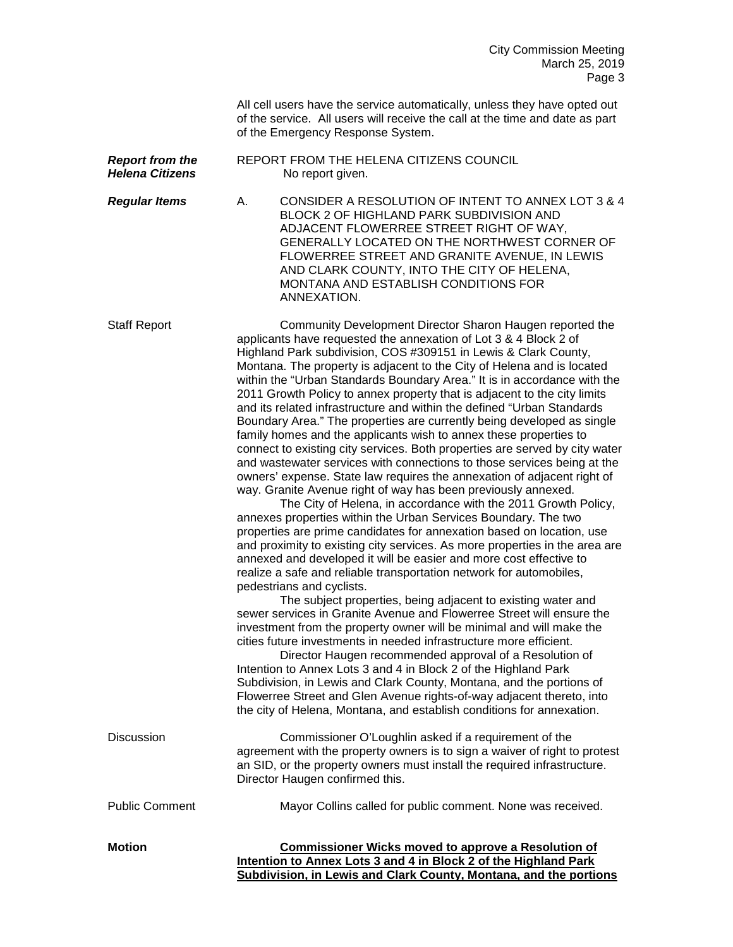|                                                  | All cell users have the service automatically, unless they have opted out<br>of the service. All users will receive the call at the time and date as part<br>of the Emergency Response System.                                                                                                                                                                                                                                                                                                                                                                                                                                                                                                                                                                                                                                                                                                                                                                                                                                                                                                                                                                                                                                                                                                                                                                                                                                                                                                                                                                                                                                                                                                                                                                                                                                                                                                                                                                                                                                                                                          |
|--------------------------------------------------|-----------------------------------------------------------------------------------------------------------------------------------------------------------------------------------------------------------------------------------------------------------------------------------------------------------------------------------------------------------------------------------------------------------------------------------------------------------------------------------------------------------------------------------------------------------------------------------------------------------------------------------------------------------------------------------------------------------------------------------------------------------------------------------------------------------------------------------------------------------------------------------------------------------------------------------------------------------------------------------------------------------------------------------------------------------------------------------------------------------------------------------------------------------------------------------------------------------------------------------------------------------------------------------------------------------------------------------------------------------------------------------------------------------------------------------------------------------------------------------------------------------------------------------------------------------------------------------------------------------------------------------------------------------------------------------------------------------------------------------------------------------------------------------------------------------------------------------------------------------------------------------------------------------------------------------------------------------------------------------------------------------------------------------------------------------------------------------------|
| <b>Report from the</b><br><b>Helena Citizens</b> | REPORT FROM THE HELENA CITIZENS COUNCIL<br>No report given.                                                                                                                                                                                                                                                                                                                                                                                                                                                                                                                                                                                                                                                                                                                                                                                                                                                                                                                                                                                                                                                                                                                                                                                                                                                                                                                                                                                                                                                                                                                                                                                                                                                                                                                                                                                                                                                                                                                                                                                                                             |
| <b>Regular Items</b>                             | CONSIDER A RESOLUTION OF INTENT TO ANNEX LOT 3 & 4<br>А.<br>BLOCK 2 OF HIGHLAND PARK SUBDIVISION AND<br>ADJACENT FLOWERREE STREET RIGHT OF WAY,<br>GENERALLY LOCATED ON THE NORTHWEST CORNER OF<br>FLOWERREE STREET AND GRANITE AVENUE, IN LEWIS<br>AND CLARK COUNTY, INTO THE CITY OF HELENA,<br>MONTANA AND ESTABLISH CONDITIONS FOR<br>ANNEXATION.                                                                                                                                                                                                                                                                                                                                                                                                                                                                                                                                                                                                                                                                                                                                                                                                                                                                                                                                                                                                                                                                                                                                                                                                                                                                                                                                                                                                                                                                                                                                                                                                                                                                                                                                   |
| <b>Staff Report</b>                              | Community Development Director Sharon Haugen reported the<br>applicants have requested the annexation of Lot 3 & 4 Block 2 of<br>Highland Park subdivision, COS #309151 in Lewis & Clark County,<br>Montana. The property is adjacent to the City of Helena and is located<br>within the "Urban Standards Boundary Area." It is in accordance with the<br>2011 Growth Policy to annex property that is adjacent to the city limits<br>and its related infrastructure and within the defined "Urban Standards"<br>Boundary Area." The properties are currently being developed as single<br>family homes and the applicants wish to annex these properties to<br>connect to existing city services. Both properties are served by city water<br>and wastewater services with connections to those services being at the<br>owners' expense. State law requires the annexation of adjacent right of<br>way. Granite Avenue right of way has been previously annexed.<br>The City of Helena, in accordance with the 2011 Growth Policy,<br>annexes properties within the Urban Services Boundary. The two<br>properties are prime candidates for annexation based on location, use<br>and proximity to existing city services. As more properties in the area are<br>annexed and developed it will be easier and more cost effective to<br>realize a safe and reliable transportation network for automobiles,<br>pedestrians and cyclists.<br>The subject properties, being adjacent to existing water and<br>sewer services in Granite Avenue and Flowerree Street will ensure the<br>investment from the property owner will be minimal and will make the<br>cities future investments in needed infrastructure more efficient.<br>Director Haugen recommended approval of a Resolution of<br>Intention to Annex Lots 3 and 4 in Block 2 of the Highland Park<br>Subdivision, in Lewis and Clark County, Montana, and the portions of<br>Flowerree Street and Glen Avenue rights-of-way adjacent thereto, into<br>the city of Helena, Montana, and establish conditions for annexation. |
| <b>Discussion</b>                                | Commissioner O'Loughlin asked if a requirement of the<br>agreement with the property owners is to sign a waiver of right to protest<br>an SID, or the property owners must install the required infrastructure.<br>Director Haugen confirmed this.                                                                                                                                                                                                                                                                                                                                                                                                                                                                                                                                                                                                                                                                                                                                                                                                                                                                                                                                                                                                                                                                                                                                                                                                                                                                                                                                                                                                                                                                                                                                                                                                                                                                                                                                                                                                                                      |
| <b>Public Comment</b>                            | Mayor Collins called for public comment. None was received.                                                                                                                                                                                                                                                                                                                                                                                                                                                                                                                                                                                                                                                                                                                                                                                                                                                                                                                                                                                                                                                                                                                                                                                                                                                                                                                                                                                                                                                                                                                                                                                                                                                                                                                                                                                                                                                                                                                                                                                                                             |
| <b>Motion</b>                                    | <b>Commissioner Wicks moved to approve a Resolution of</b><br>Intention to Annex Lots 3 and 4 in Block 2 of the Highland Park<br>Subdivision, in Lewis and Clark County, Montana, and the portions                                                                                                                                                                                                                                                                                                                                                                                                                                                                                                                                                                                                                                                                                                                                                                                                                                                                                                                                                                                                                                                                                                                                                                                                                                                                                                                                                                                                                                                                                                                                                                                                                                                                                                                                                                                                                                                                                      |